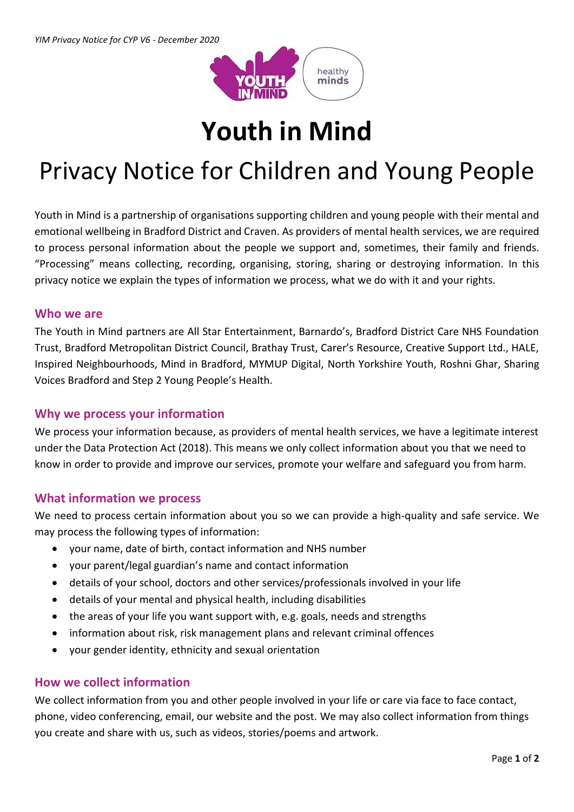

# **Youth in Mind**

# Privacy Notice for Children and Young People

Youth in Mind is a partnership of organisations supporting children and young people with their mental and emotional wellbeing in Bradford District and Craven. As providers of mental health services, we are required to process personal information about the people we support and, sometimes, their family and friends. "Processing" means collecting, recording, organising, storing, sharing or destroying information. In this privacy notice we explain the types of information we process, what we do with it and your rights.

#### **Who we are**

The Youth in Mind partners are All Star Entertainment, Barnardo's, Bradford District Care NHS Foundation Trust, Bradford Metropolitan District Council, Brathay Trust, Carer's Resource, Creative Support Ltd., HALE, Inspired Neighbourhoods, Mind in Bradford, MYMUP Digital, North Yorkshire Youth, Roshni Ghar, Sharing Voices Bradford and Step 2 Young People's Health.

# **Why we process your information**

We process your information because, as providers of mental health services, we have a legitimate interest under the Data Protection Act (2018). This means we only collect information about you that we need to know in order to provide and improve our services, promote your welfare and safeguard you from harm.

# **What information we process**

We need to process certain information about you so we can provide a high-quality and safe service. We may process the following types of information:

- your name, date of birth, contact information and NHS number
- your parent/legal guardian's name and contact information
- details of your school, doctors and other services/professionals involved in your life
- details of your mental and physical health, including disabilities
- the areas of your life you want support with, e.g. goals, needs and strengths
- information about risk, risk management plans and relevant criminal offences
- your gender identity, ethnicity and sexual orientation

# **How we collect information**

We collect information from you and other people involved in your life or care via face to face contact, phone, video conferencing, email, our website and the post. We may also collect information from things you create and share with us, such as videos, stories/poems and artwork.